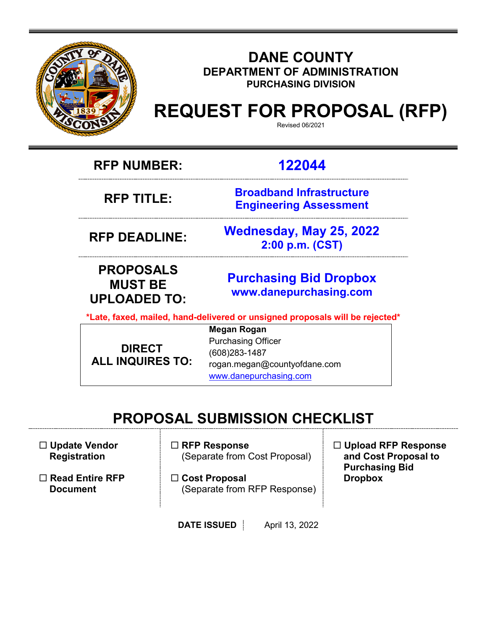

### **DANE COUNTY DEPARTMENT OF ADMINISTRATION PURCHASING DIVISION**

# **REQUEST FOR PROPOSAL (RFP)**

Revised 06/2021

**RFP NUMBER: 122044**

**RFP TITLE:** 

**Broadband Infrastructure Engineering Assessment**

**RFP DEADLINE: Wednesday, May 25, 2022 2:00 p.m. (CST)**

**PROPOSALS MUST BE UPLOADED TO:**

**[Purchasing](mailto:BIDS@COUNTYOFDANE.COM) Bid Dropbox [www.danepurchasing.com](file://daneco.us/dfs/Department/purchasing/Shared/Forms%20&%20Templates/www.danepurchasing.com)**

**\*Late, faxed, mailed, hand-delivered or unsigned proposals will be rejected\***

**DIRECT ALL INQUIRES TO:**

**Megan Rogan** Purchasing Officer (608)283-1487 rogan.megan@countyofdane.com [www.danepurchasing.com](http://www.danepurchasing.com/)

### **PROPOSAL SUBMISSION CHECKLIST**

 **Update Vendor Registration**

 **Read Entire RFP Document**

- **RFP Response** (Separate from Cost Proposal)
- **Cost Proposal**  (Separate from RFP Response)

 **Upload RFP Response and Cost Proposal to Purchasing Bid Dropbox**

**DATE ISSUED** April 13, 2022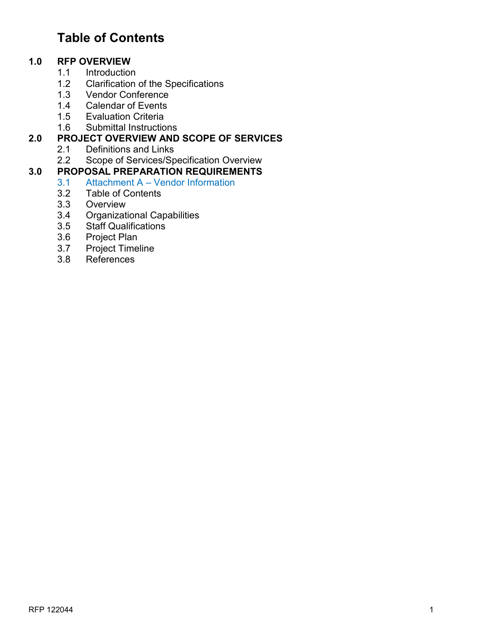### **Table of Contents**

# **1.0 RFP OVERVIEW**

- 1.1 Introduction<br>1.2 Clarification
- 1.2 Clarification of the Specifications<br>1.3 Vendor Conference
- **Vendor Conference**
- 1.4 Calendar of Events
- 
- 1.5 Evaluation Criteria<br>1.6 Submittal Instructio Submittal Instructions

#### **2.0 PROJECT OVERVIEW AND SCOPE OF SERVICES**

- 2.1 Definitions and Links
- 2.2 Scope of Services/Specification Overview

## **3.0 PROPOSAL PREPARATION REQUIREMENTS**

- 3.1 Attachment A Vendor Information<br>3.2 Table of Contents
- Table of Contents
- 3.3 Overview
- 3.4 Organizational Capabilities
- 3.5 Staff Qualifications<br>3.6 Project Plan
- Project Plan
- 3.7 Project Timeline
- 3.8 References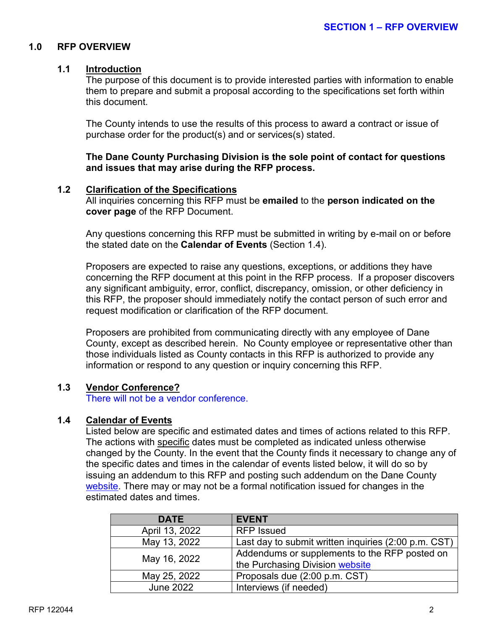#### **1.0 RFP OVERVIEW**

#### **1.1 Introduction**

The purpose of this document is to provide interested parties with information to enable them to prepare and submit a proposal according to the specifications set forth within this document.

The County intends to use the results of this process to award a contract or issue of purchase order for the product(s) and or services(s) stated.

**The Dane County Purchasing Division is the sole point of contact for questions and issues that may arise during the RFP process.**

#### **1.2 Clarification of the Specifications**

All inquiries concerning this RFP must be **emailed** to the **person indicated on the cover page** of the RFP Document.

Any questions concerning this RFP must be submitted in writing by e-mail on or before the stated date on the **Calendar of Events** (Section 1.4).

Proposers are expected to raise any questions, exceptions, or additions they have concerning the RFP document at this point in the RFP process. If a proposer discovers any significant ambiguity, error, conflict, discrepancy, omission, or other deficiency in this RFP, the proposer should immediately notify the contact person of such error and request modification or clarification of the RFP document.

Proposers are prohibited from communicating directly with any employee of Dane County, except as described herein. No County employee or representative other than those individuals listed as County contacts in this RFP is authorized to provide any information or respond to any question or inquiry concerning this RFP.

#### **1.3 Vendor Conference?**

There will not be a vendor conference.

#### **1.4 Calendar of Events**

Listed below are specific and estimated dates and times of actions related to this RFP. The actions with specific dates must be completed as indicated unless otherwise changed by the County. In the event that the County finds it necessary to change any of the specific dates and times in the calendar of events listed below, it will do so by issuing an addendum to this RFP and posting such addendum on the Dane County [website.](http://www.danepurchasing.com/) There may or may not be a formal notification issued for changes in the estimated dates and times.

| <b>DATE</b>      | <b>EVENT</b>                                         |
|------------------|------------------------------------------------------|
| April 13, 2022   | <b>RFP Issued</b>                                    |
| May 13, 2022     | Last day to submit written inquiries (2:00 p.m. CST) |
| May 16, 2022     | Addendums or supplements to the RFP posted on        |
|                  | the Purchasing Division website                      |
| May 25, 2022     | Proposals due (2:00 p.m. CST)                        |
| <b>June 2022</b> | Interviews (if needed)                               |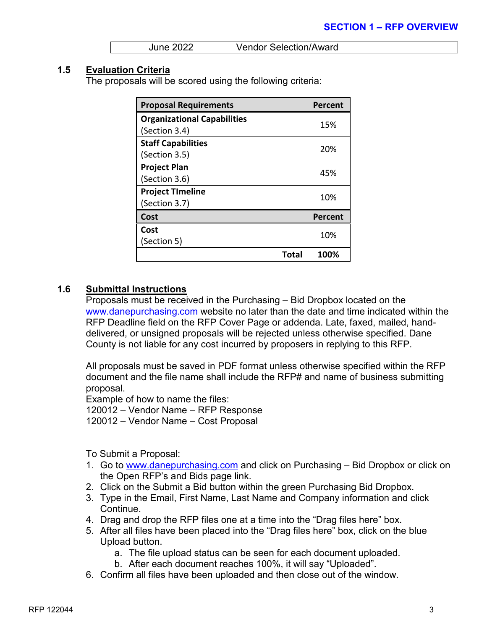| <b>June 2022</b> | Vendor Selection/Award |
|------------------|------------------------|
|------------------|------------------------|

#### **1.5 Evaluation Criteria**

The proposals will be scored using the following criteria:

| <b>Proposal Requirements</b>       |       | Percent |
|------------------------------------|-------|---------|
| <b>Organizational Capabilities</b> |       | 15%     |
| (Section 3.4)                      |       |         |
| <b>Staff Capabilities</b>          |       | 20%     |
| (Section 3.5)                      |       |         |
| <b>Project Plan</b>                |       | 45%     |
| (Section 3.6)                      |       |         |
| <b>Project Timeline</b>            |       | 10%     |
| (Section 3.7)                      |       |         |
| Cost                               |       | Percent |
| Cost                               |       | 10%     |
| (Section 5)                        |       |         |
|                                    | Total | 100%    |

#### **1.6 Submittal Instructions**

Proposals must be received in the Purchasing – Bid Dropbox located on the [www.danepurchasing.com](http://www.danepurchasing.com/) website no later than the date and time indicated within the RFP Deadline field on the RFP Cover Page or addenda. Late, faxed, mailed, handdelivered, or unsigned proposals will be rejected unless otherwise specified. Dane County is not liable for any cost incurred by proposers in replying to this RFP.

All proposals must be saved in PDF format unless otherwise specified within the RFP document and the file name shall include the RFP# and name of business submitting proposal.

Example of how to name the files: 120012 – Vendor Name – RFP Response 120012 – Vendor Name – Cost Proposal

To Submit a Proposal:

- 1. Go to [www.danepurchasing.com](http://www.danepurchasing.com/) and click on Purchasing Bid Dropbox or click on the Open RFP's and Bids page link.
- 2. Click on the Submit a Bid button within the green Purchasing Bid Dropbox.
- 3. Type in the Email, First Name, Last Name and Company information and click Continue.
- 4. Drag and drop the RFP files one at a time into the "Drag files here" box.
- 5. After all files have been placed into the "Drag files here" box, click on the blue Upload button.
	- a. The file upload status can be seen for each document uploaded.
	- b. After each document reaches 100%, it will say "Uploaded".
- 6. Confirm all files have been uploaded and then close out of the window.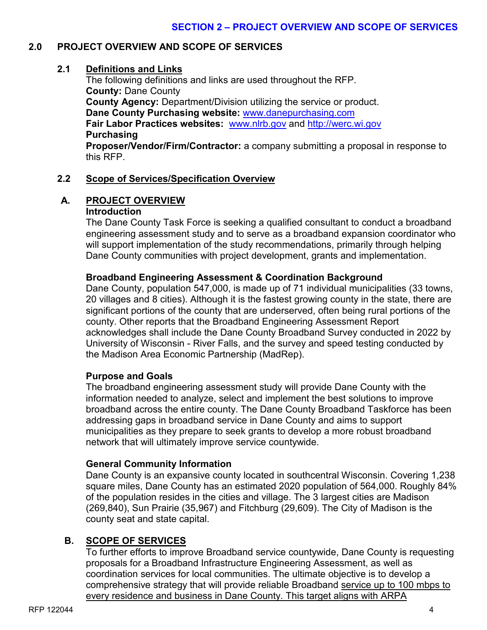#### **2.0 PROJECT OVERVIEW AND SCOPE OF SERVICES**

#### **2.1 Definitions and Links**

The following definitions and links are used throughout the RFP. **County:** Dane County **County Agency:** Department/Division utilizing the service or product. **Dane County Purchasing website:** [www.danepurchasing.com](http://www.danepurchasing.com/) **Fair Labor Practices websites:** [www.nlrb.gov](http://www.nlrb.gov/) and [http://werc.wi.gov](http://werc.wi.gov/) **Purchasing Proposer/Vendor/Firm/Contractor:** a company submitting a proposal in response to

this RFP.

#### **2.2 Scope of Services/Specification Overview**

#### **A. PROJECT OVERVIEW Introduction**

The Dane County Task Force is seeking a qualified consultant to conduct a broadband engineering assessment study and to serve as a broadband expansion coordinator who will support implementation of the study recommendations, primarily through helping Dane County communities with project development, grants and implementation.

#### **Broadband Engineering Assessment & Coordination Background**

Dane County, population 547,000, is made up of 71 individual municipalities (33 towns, 20 villages and 8 cities). Although it is the fastest growing county in the state, there are significant portions of the county that are underserved, often being rural portions of the county. Other reports that the Broadband Engineering Assessment Report acknowledges shall include the Dane County Broadband Survey conducted in 2022 by University of Wisconsin - River Falls, and the survey and speed testing conducted by the Madison Area Economic Partnership (MadRep).

#### **Purpose and Goals**

The broadband engineering assessment study will provide Dane County with the information needed to analyze, select and implement the best solutions to improve broadband across the entire county. The Dane County Broadband Taskforce has been addressing gaps in broadband service in Dane County and aims to support municipalities as they prepare to seek grants to develop a more robust broadband network that will ultimately improve service countywide.

#### **General Community Information**

Dane County is an expansive county located in southcentral Wisconsin. Covering 1,238 square miles, Dane County has an estimated 2020 population of 564,000. Roughly 84% of the population resides in the cities and village. The 3 largest cities are Madison (269,840), Sun Prairie (35,967) and Fitchburg (29,609). The City of Madison is the county seat and state capital.

#### **B. SCOPE OF SERVICES**

To further efforts to improve Broadband service countywide, Dane County is requesting proposals for a Broadband Infrastructure Engineering Assessment, as well as coordination services for local communities. The ultimate objective is to develop a comprehensive strategy that will provide reliable Broadband service up to 100 mbps to every residence and business in Dane County. This target aligns with ARPA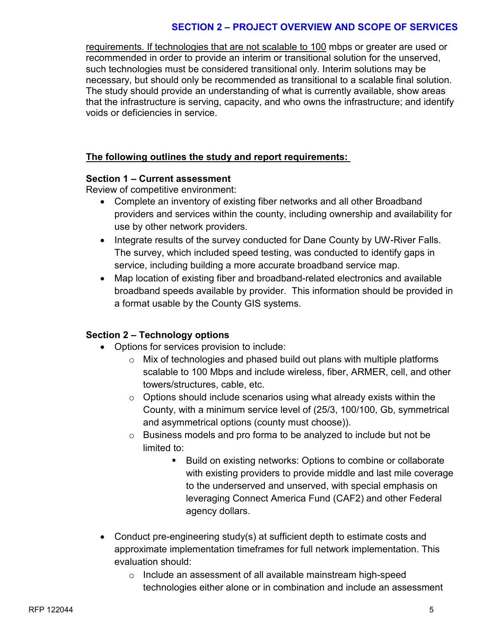#### **SECTION 2 – PROJECT OVERVIEW AND SCOPE OF SERVICES**

requirements. If technologies that are not scalable to 100 mbps or greater are used or recommended in order to provide an interim or transitional solution for the unserved, such technologies must be considered transitional only. Interim solutions may be necessary, but should only be recommended as transitional to a scalable final solution. The study should provide an understanding of what is currently available, show areas that the infrastructure is serving, capacity, and who owns the infrastructure; and identify voids or deficiencies in service.

#### **The following outlines the study and report requirements:**

#### **Section 1 – Current assessment**

Review of competitive environment:

- Complete an inventory of existing fiber networks and all other Broadband providers and services within the county, including ownership and availability for use by other network providers.
- Integrate results of the survey conducted for Dane County by UW-River Falls. The survey, which included speed testing, was conducted to identify gaps in service, including building a more accurate broadband service map.
- Map location of existing fiber and broadband-related electronics and available broadband speeds available by provider. This information should be provided in a format usable by the County GIS systems.

#### **Section 2 – Technology options**

- Options for services provision to include:
	- o Mix of technologies and phased build out plans with multiple platforms scalable to 100 Mbps and include wireless, fiber, ARMER, cell, and other towers/structures, cable, etc.
	- $\circ$  Options should include scenarios using what already exists within the County, with a minimum service level of (25/3, 100/100, Gb, symmetrical and asymmetrical options (county must choose)).
	- o Business models and pro forma to be analyzed to include but not be limited to:
		- Build on existing networks: Options to combine or collaborate with existing providers to provide middle and last mile coverage to the underserved and unserved, with special emphasis on leveraging Connect America Fund (CAF2) and other Federal agency dollars.
- Conduct pre-engineering study(s) at sufficient depth to estimate costs and approximate implementation timeframes for full network implementation. This evaluation should:
	- o Include an assessment of all available mainstream high-speed technologies either alone or in combination and include an assessment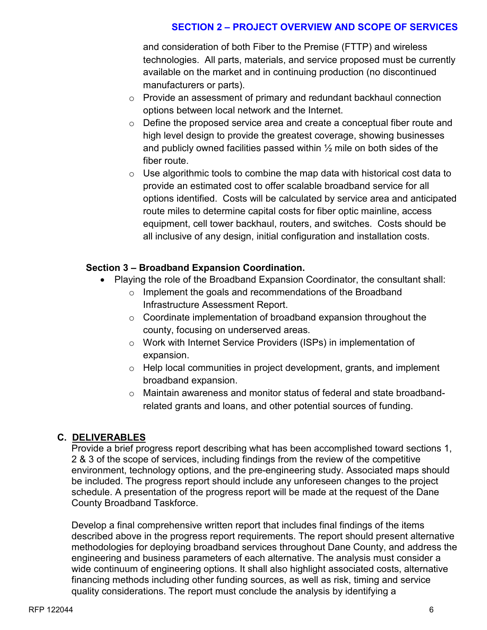#### **SECTION 2 – PROJECT OVERVIEW AND SCOPE OF SERVICES**

and consideration of both Fiber to the Premise (FTTP) and wireless technologies. All parts, materials, and service proposed must be currently available on the market and in continuing production (no discontinued manufacturers or parts).

- o Provide an assessment of primary and redundant backhaul connection options between local network and the Internet.
- o Define the proposed service area and create a conceptual fiber route and high level design to provide the greatest coverage, showing businesses and publicly owned facilities passed within  $\frac{1}{2}$  mile on both sides of the fiber route.
- $\circ$  Use algorithmic tools to combine the map data with historical cost data to provide an estimated cost to offer scalable broadband service for all options identified. Costs will be calculated by service area and anticipated route miles to determine capital costs for fiber optic mainline, access equipment, cell tower backhaul, routers, and switches. Costs should be all inclusive of any design, initial configuration and installation costs.

#### **Section 3 – Broadband Expansion Coordination.**

- Playing the role of the Broadband Expansion Coordinator, the consultant shall:
	- o Implement the goals and recommendations of the Broadband Infrastructure Assessment Report.
	- o Coordinate implementation of broadband expansion throughout the county, focusing on underserved areas.
	- o Work with Internet Service Providers (ISPs) in implementation of expansion.
	- o Help local communities in project development, grants, and implement broadband expansion.
	- $\circ$  Maintain awareness and monitor status of federal and state broadbandrelated grants and loans, and other potential sources of funding.

#### **C. DELIVERABLES**

Provide a brief progress report describing what has been accomplished toward sections 1, 2 & 3 of the scope of services, including findings from the review of the competitive environment, technology options, and the pre-engineering study. Associated maps should be included. The progress report should include any unforeseen changes to the project schedule. A presentation of the progress report will be made at the request of the Dane County Broadband Taskforce.

Develop a final comprehensive written report that includes final findings of the items described above in the progress report requirements. The report should present alternative methodologies for deploying broadband services throughout Dane County, and address the engineering and business parameters of each alternative. The analysis must consider a wide continuum of engineering options. It shall also highlight associated costs, alternative financing methods including other funding sources, as well as risk, timing and service quality considerations. The report must conclude the analysis by identifying a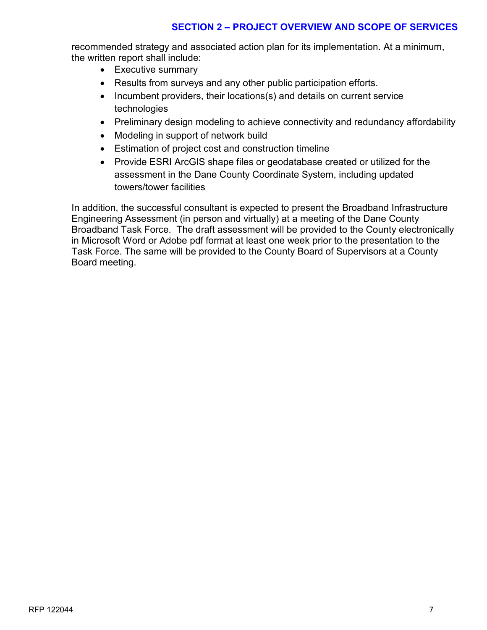#### **SECTION 2 – PROJECT OVERVIEW AND SCOPE OF SERVICES**

recommended strategy and associated action plan for its implementation. At a minimum, the written report shall include:

- Executive summary
- Results from surveys and any other public participation efforts.
- Incumbent providers, their locations(s) and details on current service technologies
- Preliminary design modeling to achieve connectivity and redundancy affordability
- Modeling in support of network build
- Estimation of project cost and construction timeline
- Provide ESRI ArcGIS shape files or geodatabase created or utilized for the assessment in the Dane County Coordinate System, including updated towers/tower facilities

In addition, the successful consultant is expected to present the Broadband Infrastructure Engineering Assessment (in person and virtually) at a meeting of the Dane County Broadband Task Force. The draft assessment will be provided to the County electronically in Microsoft Word or Adobe pdf format at least one week prior to the presentation to the Task Force. The same will be provided to the County Board of Supervisors at a County Board meeting.